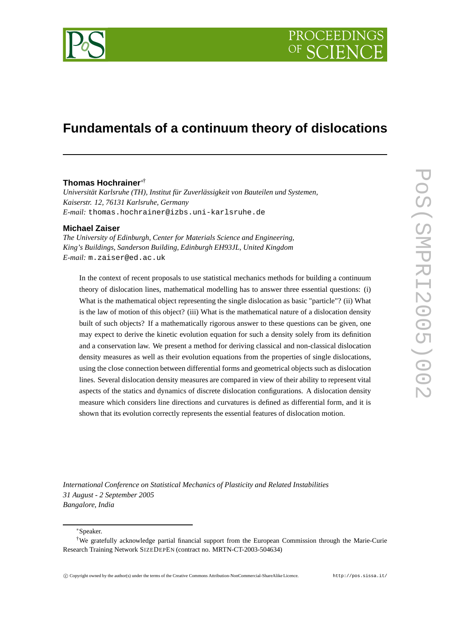

# **Fundamentals of a continuum theory of dislocations**

# **Thomas Hochrainer**∗†

*Universität Karlsruhe (TH), Institut für Zuverlässigkeit von Bauteilen und Systemen, Kaiserstr. 12, 76131 Karlsruhe, Germany E-mail:* thomas.hochrainer@izbs.uni-karlsruhe.de

# **Michael Zaiser**

*The University of Edinburgh, Center for Materials Science and Engineering, King's Buildings, Sanderson Building, Edinburgh EH93JL, United Kingdom E-mail:* m.zaiser@ed.ac.uk

In the context of recent proposals to use statistical mechanics methods for building a continuum theory of dislocation lines, mathematical modelling has to answer three essential questions: (i) What is the mathematical object representing the single dislocation as basic "particle"? (ii) What is the law of motion of this object? (iii) What is the mathematical nature of a dislocation density built of such objects? If a mathematically rigorous answer to these questions can be given, one may expect to derive the kinetic evolution equation for such a density solely from its definition and a conservation law. We present a method for deriving classical and non-classical dislocation density measures as well as their evolution equations from the properties of single dislocations, using the close connection between differential forms and geometrical objects such as dislocation lines. Several dislocation density measures are compared in view of their ability to represent vital aspects of the statics and dynamics of discrete dislocation configurations. A dislocation density measure which considers line directions and curvatures is defined as differential form, and it is shown that its evolution correctly represents the essential features of dislocation motion.

*International Conference on Statistical Mechanics of Plasticity and Related Instabilities 31 August - 2 September 2005 Bangalore, India*

<sup>∗</sup>Speaker.

<sup>†</sup>We gratefully acknowledge partial financial support from the European Commission through the Marie-Curie Research Training Network SIZEDEPEN (contract no. MRTN-CT-2003-504634)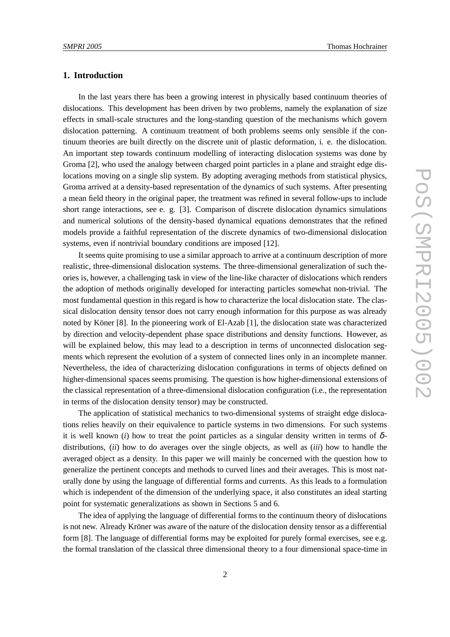# **1. Introduction**

In the last years there has been a growing interest in physically based continuum theories of dislocations. This development has been driven by two problems, namely the explanation of size effects in small-scale structures and the long-standing question of the mechanisms which govern dislocation patterning. A continuum treatment of both problems seems only sensible if the continuum theories are built directly on the discrete unit of plastic deformation, i. e. the dislocation. An important step towards continuum modelling of interacting dislocation systems was done by Groma [2], who used the analogy between charged point particles in a plane and straight edge dislocations moving on a single slip system. By adopting averaging methods from statistical physics, Groma arrived at a density-based representation of the dynamics of such systems. After presenting a mean field theory in the original paper, the treatment was refined in several follow-ups to include short range interactions, see e. g. [3]. Comparison of discrete dislocation dynamics simulations and numerical solutions of the density-based dynamical equations demonstrates that the refined models provide a faithful representation of the discrete dynamics of two-dimensional dislocation systems, even if nontrivial boundary conditions are imposed [12].

It seems quite promising to use a similar approach to arrive at a continuum description of more realistic, three-dimensional dislocation systems. The three-dimensional generalization of such theories is, however, a challenging task in view of the line-like character of dislocations which renders the adoption of methods originally developed for interacting particles somewhat non-trivial. The most fundamental question in this regard is how to characterize the local dislocation state. The classical dislocation density tensor does not carry enough information for this purpose as was already noted by Köner [8]. In the pioneering work of El-Azab [1], the dislocation state was characterized by direction and velocity-dependent phase space distributions and density functions. However, as will be explained below, this may lead to a description in terms of unconnected dislocation segments which represent the evolution of a system of connected lines only in an incomplete manner. Nevertheless, the idea of characterizing dislocation configurations in terms of objects defined on higher-dimensional spaces seems promising. The question is how higher-dimensional extensions of the classical representation of a three-dimensional dislocation configuration (i.e., the representation in terms of the dislocation density tensor) may be constructed.

The application of statistical mechanics to two-dimensional systems of straight edge dislocations relies heavily on their equivalence to particle systems in two dimensions. For such systems it is well known (*i*) how to treat the point particles as a singular density written in terms of  $\delta$ distributions, (*ii*) how to do averages over the single objects, as well as (*iii*) how to handle the averaged object as a density. In this paper we will mainly be concerned with the question how to generalize the pertinent concepts and methods to curved lines and their averages. This is most naturally done by using the language of differential forms and currents. As this leads to a formulation which is independent of the dimension of the underlying space, it also constitutes an ideal starting point for systematic generalizations as shown in Sections 5 and 6.

The idea of applying the language of differential forms to the continuum theory of dislocations is not new. Already Kröner was aware of the nature of the dislocation density tensor as a differential form [8]. The language of differential forms may be exploited for purely formal exercises, see e.g. the formal translation of the classical three dimensional theory to a four dimensional space-time in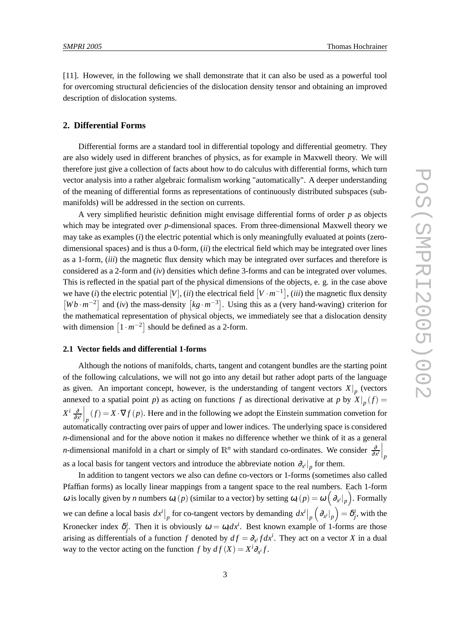[11]. However, in the following we shall demonstrate that it can also be used as a powerful tool for overcoming structural deficiencies of the dislocation density tensor and obtaining an improved description of dislocation systems.

# **2. Differential Forms**

Differential forms are a standard tool in differential topology and differential geometry. They are also widely used in different branches of physics, as for example in Maxwell theory. We will therefore just give a collection of facts about how to do calculus with differential forms, which turn vector analysis into a rather algebraic formalism working "automatically". A deeper understanding of the meaning of differential forms as representations of continuously distributed subspaces (submanifolds) will be addressed in the section on currents.

A very simplified heuristic definition might envisage differential forms of order *p* as objects which may be integrated over *p*-dimensional spaces. From three-dimensional Maxwell theory we may take as examples (*i*) the electric potential which is only meaningfully evaluated at points (zerodimensional spaces) and is thus a 0-form, (*ii*) the electrical field which may be integrated over lines as a 1-form, (*iii*) the magnetic flux density which may be integrated over surfaces and therefore is considered as a 2-form and (*iv*) densities which define 3-forms and can be integrated over volumes. This is reflected in the spatial part of the physical dimensions of the objects, e. g. in the case above we have (*i*) the electric potential [*V*], (*ii*) the electrical field  $[V \cdot m^{-1}]$ , (*iii*) the magnetic flux density  $[Wb \cdot m^{-2}]$  and (*iv*) the mass-density  $[kg \cdot m^{-3}]$ . Using this as a (very hand-waving) criterion for the mathematical representation of physical objects, we immediately see that a dislocation density with dimension  $\left[1 \cdot m^{-2}\right]$  should be defined as a 2-form.

### **2.1 Vector fields and differential 1-forms**

Although the notions of manifolds, charts, tangent and cotangent bundles are the starting point of the following calculations, we will not go into any detail but rather adopt parts of the language as given. An important concept, however, is the understanding of tangent vectors  $X|_p$  (vectors annexed to a spatial point *p*) as acting on functions *f* as directional derivative at *p* by  $X|_p(f) =$ *X i* ∂  $\frac{\partial}{\partial x^i}\Big|_p (f) = X \cdot \nabla f (p)$ . Here and in the following we adopt the Einstein summation convetion for automatically contracting over pairs of upper and lower indices. The underlying space is considered *n*-dimensional and for the above notion it makes no difference whether we think of it as a general *n*-dimensional manifold in a chart or simply of  $\mathbb{R}^n$  with standard co-ordinates. We consider  $\frac{\partial}{\partial x^i}\Big|_p$ as a local basis for tangent vectors and introduce the abbreviate notion  $\partial_{x^i}|_p$  for them.

In addition to tangent vectors we also can define co-vectors or 1-forms (sometimes also called Pfaffian forms) as locally linear mappings from a tangent space to the real numbers. Each 1-form ω is locally given by *n* numbers  $ω_i(p)$  (similar to a vector) by setting  $ω_i(p) = ω\left(\frac{\partial_{x_i}}{\partial p}\right)$ . Formally we can define a local basis  $dx^i\big|_p$  for co-tangent vectors by demanding  $dx^i\big|_p \left(\partial_{x^i}\big|_p\right) = \delta^i_j$ , with the Kronecker index  $\delta^i_j$ . Then it is obviously  $\omega = \omega_i dx^i$ . Best known example of 1-forms are those arising as differentials of a function *f* denoted by  $df = \partial_{x} f dx^{i}$ . They act on a vector *X* in a dual way to the vector acting on the function *f* by  $df(X) = X^i \partial_{X^i} f$ .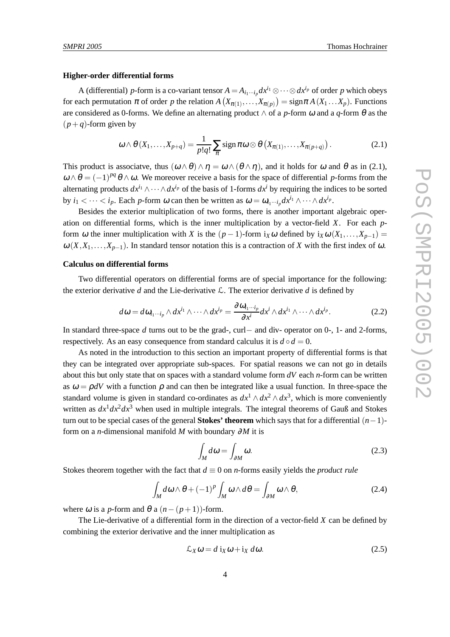#### **Higher-order differential forms**

A (differential) *p*-form is a co-variant tensor  $A = A_{i_1\cdots i_p} dx^{i_1} \otimes \cdots \otimes dx^{i_p}$  of order *p* which obeys for each permutation  $\pi$  of order  $p$  the relation  $A(X_{\pi(1)},...,X_{\pi(p)}) = \text{sign}\pi A(X_1...X_p)$ . Functions are considered as 0-forms. We define an alternating product  $\wedge$  of a *p*-form  $\omega$  and a *q*-form  $\theta$  as the  $(p+q)$ -form given by

$$
\omega \wedge \theta \left( X_1, \ldots, X_{p+q} \right) = \frac{1}{p!q!} \sum_{\pi} \text{sign} \, \pi \omega \otimes \theta \left( X_{\pi(1)}, \ldots, X_{\pi(p+q)} \right). \tag{2.1}
$$

This product is associatve, thus  $(\omega \wedge \theta) \wedge \eta = \omega \wedge (\theta \wedge \eta)$ , and it holds for  $\omega$  and  $\theta$  as in (2.1),  $\omega \wedge \theta = (-1)^{pq} \theta \wedge \omega$ . We moreover receive a basis for the space of differential *p*-forms from the alternating products  $dx^{i_1} \wedge \cdots \wedge dx^{i_p}$  of the basis of 1-forms  $dx^i$  by requiring the indices to be sorted by  $i_1 < \cdots < i_p$ . Each *p*-form  $\omega$  can then be written as  $\omega = \omega_{i_1 \cdots i_p} dx^{i_1} \wedge \cdots \wedge dx^{i_p}$ .

Besides the exterior multiplication of two forms, there is another important algebraic operation on differential forms, which is the inner multiplication by a vector-field *X*. For each *p*form  $\omega$  the inner multiplication with *X* is the  $(p-1)$ -form  $i_X \omega$  defined by  $i_X \omega(X_1,...,X_{p-1}) =$  $ω(X, X_1, \ldots, X_{p-1})$ . In standard tensor notation this is a contraction of *X* with the first index of ω.

#### **Calculus on differential forms**

Two differential operators on differential forms are of special importance for the following: the exterior derivative *d* and the Lie-derivative  $\mathcal{L}$ . The exterior derivative *d* is defined by

$$
d\omega = d\omega_{i_1\cdots i_p} \wedge dx^{i_1} \wedge \cdots \wedge dx^{i_p} = \frac{\partial \omega_{i_1\cdots i_p}}{\partial x^i} dx^i \wedge dx^{i_1} \wedge \cdots \wedge dx^{i_p}.
$$
 (2.2)

In standard three-space *d* turns out to be the grad-, curl− and div- operator on 0-, 1- and 2-forms, respectively. As an easy consequence from standard calculus it is  $d \circ d = 0$ .

As noted in the introduction to this section an important property of differential forms is that they can be integrated over appropriate sub-spaces. For spatial reasons we can not go in details about this but only state that on spaces with a standard volume form *dV* each *n*-form can be written as  $\omega = \rho dV$  with a function  $\rho$  and can then be integrated like a usual function. In three-space the standard volume is given in standard co-ordinates as  $dx^1 \wedge dx^2 \wedge dx^3$ , which is more conveniently written as  $dx^1 dx^2 dx^3$  when used in multiple integrals. The integral theorems of Gauß and Stokes turn out to be special cases of the general **Stokes' theorem** which says that for a differential (*n*−1) form on a *n*-dimensional manifold *M* with boundary ∂*M* it is

$$
\int_{M} d\omega = \int_{\partial M} \omega.
$$
\n(2.3)

Stokes theorem together with the fact that  $d \equiv 0$  on *n*-forms easily yields the *product rule* 

$$
\int_{M} d\omega \wedge \theta + (-1)^{p} \int_{M} \omega \wedge d\theta = \int_{\partial M} \omega \wedge \theta, \tag{2.4}
$$

where  $\omega$  is a *p*-form and  $\theta$  a  $(n-(p+1))$ -form.

The Lie-derivative of a differential form in the direction of a vector-field *X* can be defined by combining the exterior derivative and the inner multiplication as

$$
\mathcal{L}_X \omega = d \mathbf{i}_X \omega + \mathbf{i}_X d\omega. \tag{2.5}
$$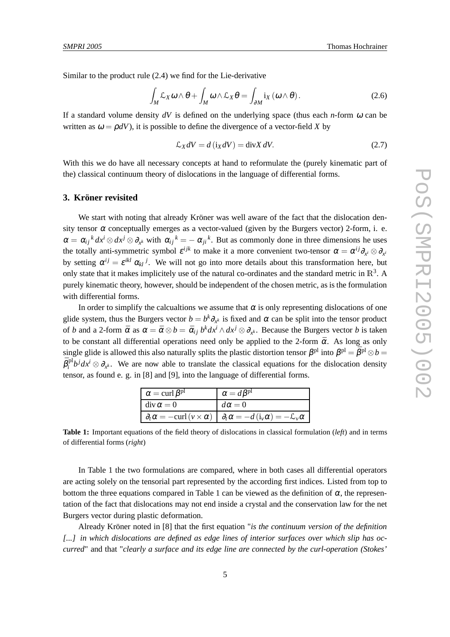Similar to the product rule (2.4) we find for the Lie-derivative

$$
\int_{M} \mathcal{L}_{X} \omega \wedge \theta + \int_{M} \omega \wedge \mathcal{L}_{X} \theta = \int_{\partial M} i_{X} (\omega \wedge \theta).
$$
 (2.6)

If a standard volume density  $dV$  is defined on the underlying space (thus each *n*-form  $\omega$  can be written as  $\omega = \rho dV$ ), it is possible to define the divergence of a vector-field *X* by

$$
\mathcal{L}_X dV = d(i_X dV) = \text{div} X dV. \tag{2.7}
$$

With this we do have all necessary concepts at hand to reformulate the (purely kinematic part of the) classical continuum theory of dislocations in the language of differential forms.

# **3. Kröner revisited**

We start with noting that already Kröner was well aware of the fact that the dislocation density tensor  $\alpha$  conceptually emerges as a vector-valued (given by the Burgers vector) 2-form, i. e.  $\alpha = \alpha_{ij}^k dx^i \otimes dx^j \otimes \partial_{x^k}$  with  $\alpha_{ij}^k = -\alpha_{ji}^k$ . But as commonly done in three dimensions he uses the totally anti-symmetric symbol  $\varepsilon^{ijk}$  to make it a more convenient two-tensor  $\alpha = \alpha^{ij}\partial_{x^i}\otimes \partial_{x^i}$ by setting  $\alpha^{ij} = \varepsilon^{ikl} \alpha_{kl}$ <sup>*j*</sup>. We will not go into more details about this transformation here, but only state that it makes implicitely use of the natural co-ordinates and the standard metric in  $\mathbb{R}^3$ . A purely kinematic theory, however, should be independent of the chosen metric, as is the formulation with differential forms.

In order to simplify the calcualtions we assume that  $\alpha$  is only representing dislocations of one glide system, thus the Burgers vector  $b = b^k \partial_{x^k}$  is fixed and  $\alpha$  can be split into the tensor product of *b* and a 2-form  $\bar{\alpha}$  as  $\alpha = \bar{\alpha} \otimes b = \bar{\alpha}_{ij} b^k dx^i \wedge dx^j \otimes \partial_{x^k}$ . Because the Burgers vector *b* is taken to be constant all differential operations need only be applied to the 2-form  $\bar{\alpha}$ . As long as only single glide is allowed this also naturally splits the plastic distortion tensor  $\beta^{pl}$  into  $\beta^{pl} = \bar{\beta}^{pl} \otimes b$  =  $\bar{\beta}_i^{\rm pl}$  $i<sup>pl</sup>b<sup>j</sup> dx<sup>j</sup> \otimes \partial_{x<sup>k</sup>}$ . We are now able to translate the classical equations for the dislocation density tensor, as found e. g. in [8] and [9], into the language of differential forms.

| $\alpha = \text{curl } \beta^{\text{pl}}$ | $\alpha = d\beta^{\text{pl}}$                                                                                                              |
|-------------------------------------------|--------------------------------------------------------------------------------------------------------------------------------------------|
| $\operatorname{div} \alpha = 0$           | $d\alpha = 0$                                                                                                                              |
|                                           | $\left  \partial_t \alpha = -\mathrm{curl} (v \times \alpha) \right  \partial_t \alpha = -d (\mathrm{i}_v \alpha) = -\mathcal{L}_v \alpha$ |

**Table 1:** Important equations of the field theory of dislocations in classical formulation (*left*) and in terms of differential forms (*right*)

In Table 1 the two formulations are compared, where in both cases all differential operators are acting solely on the tensorial part represented by the according first indices. Listed from top to bottom the three equations compared in Table 1 can be viewed as the definition of  $\alpha$ , the representation of the fact that dislocations may not end inside a crystal and the conservation law for the net Burgers vector during plastic deformation.

Already Kröner noted in [8] that the first equation "*is the continuum version of the definition [...] in which dislocations are defined as edge lines of interior surfaces over which slip has occurred*" and that "*clearly a surface and its edge line are connected by the curl-operation (Stokes'*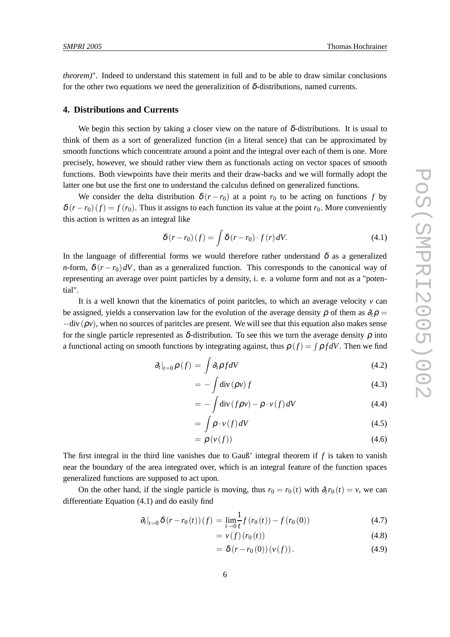*theorem)*". Indeed to understand this statement in full and to be able to draw similar conclusions for the other two equations we need the generalizition of  $\delta$ -distributions, named currents.

#### **4. Distributions and Currents**

We begin this section by taking a closer view on the nature of  $\delta$ -distributions. It is usual to think of them as a sort of generalized function (in a literal sence) that can be approximated by smooth functions which concentrate around a point and the integral over each of them is one. More precisely, however, we should rather view them as functionals acting on vector spaces of smooth functions. Both viewpoints have their merits and their draw-backs and we will formally adopt the latter one but use the first one to understand the calculus defined on generalized functions.

We consider the delta distribution  $\delta(r - r_0)$  at a point  $r_0$  to be acting on functions *f* by  $\delta(r - r_0)(f) = f(r_0)$ . Thus it assigns to each function its value at the point  $r_0$ . More conveniently this action is written as an integral like

$$
\delta(r - r_0)(f) = \int \delta(r - r_0) \cdot f(r) \, dV. \tag{4.1}
$$

In the language of differential forms we would therefore rather understand  $\delta$  as a generalized *n*-form,  $\delta (r - r_0) dV$ , than as a generalized function. This corresponds to the canonical way of representing an average over point particles by a density, i. e. a volume form and not as a "potential".

It is a well known that the kinematics of point paritcles, to which an average velocity *v* can be assigned, yields a conservation law for the evolution of the average density  $\rho$  of them as  $\partial_t \rho =$  $-div(\rho v)$ , when no sources of paritcles are present. We will see that this equation also makes sense for the single particle represented as  $\delta$ -distribution. To see this we turn the average density  $\rho$  into a functional acting on smooth functions by integrating against, thus  $\rho(f) = \int \rho f dV$ . Then we find

$$
\partial_t|_{t=0} \rho(f) = \int \partial_t \rho f dV \tag{4.2}
$$

$$
= -\int \operatorname{div} \left( \rho v \right) f \tag{4.3}
$$

$$
= -\int \operatorname{div} \left( f \rho v \right) - \rho \cdot v \left( f \right) dV \tag{4.4}
$$

$$
= \int \rho \cdot v(f) \, dV \tag{4.5}
$$

$$
= \rho\left(v(f)\right) \tag{4.6}
$$

The first integral in the third line vanishes due to Gauß' integral theorem if *f* is taken to vanish near the boundary of the area integrated over, which is an integral feature of the function spaces generalized functions are supposed to act upon.

On the other hand, if the single particle is moving, thus  $r_0 = r_0(t)$  with  $\partial_t r_0(t) = v$ , we can differentiate Equation (4.1) and do easily find

$$
\partial_t |_{t=0} \delta (r - r_0(t)) (f) = \lim_{t \to 0} \frac{1}{t} f(r_0(t)) - f(r_0(0)) \tag{4.7}
$$

$$
= v(f)(r_0(t)) \tag{4.8}
$$

$$
= \delta(r - r_0(0)) (v(f)). \tag{4.9}
$$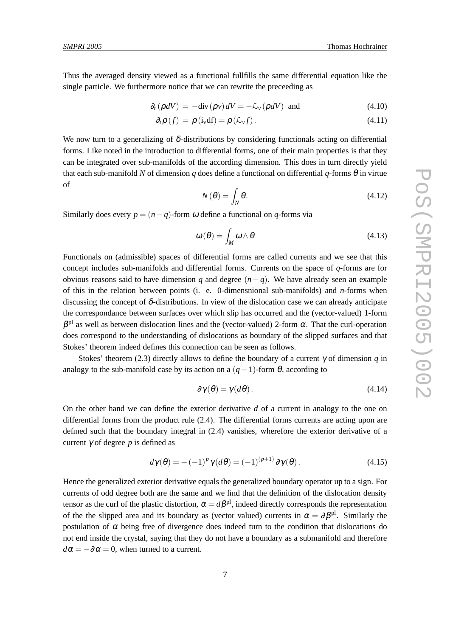Thus the averaged density viewed as a functional fullfills the same differential equation like the single particle. We furthermore notice that we can rewrite the preceeding as

$$
\partial_t (\rho dV) = -\text{div}(\rho v) dV = -\mathcal{L}_v(\rho dV) \text{ and } (4.10)
$$

$$
\partial_t \rho \left( f \right) = \rho \left( i_v \mathrm{d} f \right) = \rho \left( \mathcal{L}_v f \right). \tag{4.11}
$$

We now turn to a generalizing of  $\delta$ -distributions by considering functionals acting on differential forms. Like noted in the introduction to differential forms, one of their main properties is that they can be integrated over sub-manifolds of the according dimension. This does in turn directly yield that each sub-manifold *N* of dimension *q* does define a functional on differential *q*-forms  $\theta$  in virtue of

$$
N(\theta) = \int_N \theta. \tag{4.12}
$$

Similarly does every  $p = (n - q)$ -form  $\omega$  define a functional on  $q$ -forms via

$$
\omega(\theta) = \int_M \omega \wedge \theta \tag{4.13}
$$

Functionals on (admissible) spaces of differential forms are called currents and we see that this concept includes sub-manifolds and differential forms. Currents on the space of *q*-forms are for obvious reasons said to have dimension *q* and degree  $(n-q)$ . We have already seen an example of this in the relation between points (i. e. 0-dimensnional sub-manifolds) and *n*-forms when discussing the concept of  $\delta$ -distributions. In view of the dislocation case we can already anticipate the correspondance between surfaces over which slip has occurred and the (vector-valued) 1-form  $\beta$ <sup>pl</sup> as well as between dislocation lines and the (vector-valued) 2-form  $\alpha$ . That the curl-operation does correspond to the understanding of dislocations as boundary of the slipped surfaces and that Stokes' theorem indeed defines this connection can be seen as follows.

Stokes' theorem (2.3) directly allows to define the boundary of a current  $\gamma$  of dimension *q* in analogy to the sub-manifold case by its action on a  $(q-1)$ -form  $\theta$ , according to

$$
\partial \gamma(\theta) = \gamma(d\theta). \tag{4.14}
$$

On the other hand we can define the exterior derivative *d* of a current in analogy to the one on differential forms from the product rule (2.4). The differential forms currents are acting upon are defined such that the boundary integral in (2.4) vanishes, wherefore the exterior derivative of a current γ of degree *p* is defined as

$$
d\gamma(\theta) = -(-1)^p \gamma(d\theta) = (-1)^{(p+1)} \partial \gamma(\theta).
$$
 (4.15)

Hence the generalized exterior derivative equals the generalized boundary operator up to a sign. For currents of odd degree both are the same and we find that the definition of the dislocation density tensor as the curl of the plastic distortion,  $\alpha = d\beta^{pl}$ , indeed directly corresponds the representation of the the slipped area and its boundary as (vector valued) currents in  $\alpha = \partial \beta^{pl}$ . Similarly the postulation of  $\alpha$  being free of divergence does indeed turn to the condition that dislocations do not end inside the crystal, saying that they do not have a boundary as a submanifold and therefore  $d\alpha = -\partial\alpha = 0$ , when turned to a current.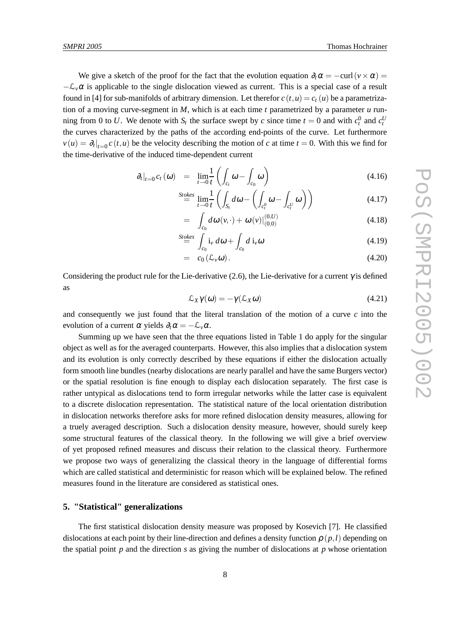We give a sketch of the proof for the fact that the evolution equation  $\partial_t \alpha = -\text{curl}(v \times \alpha)$  $-\mathcal{L}_v\alpha$  is applicable to the single dislocation viewed as current. This is a special case of a result found in [4] for sub-manifolds of arbitrary dimension. Let therefor  $c(t, u) = c_t(u)$  be a parametrization of a moving curve-segment in *M*, which is at each time *t* parametrized by a parameter *u* runhence swept by *c* since time  $t = 0$  and with  $c_t^0$  and  $c_t^U$ the curves characterized by the paths of the according end-points of the curve. Let furthermore  $v(u) = \partial_t |_{t=0} c(t, u)$  be the velocity describing the motion of *c* at time  $t = 0$ . With this we find for the time-derivative of the induced time-dependent current

$$
\partial_t|_{t=0} c_t(\omega) = \lim_{t \to 0} \frac{1}{t} \left( \int_{c_t} \omega - \int_{c_0} \omega \right) \tag{4.16}
$$

$$
\stackrel{Stokes}{=} \lim_{t \to 0} \frac{1}{t} \left( \int_{S_t} d\omega - \left( \int_{c_t^0} \omega - \int_{c_t^U} \omega \right) \right) \tag{4.17}
$$

$$
= \int_{c_0} d\omega \, (v, \cdot) + \omega \, (v) \big|_{(0,0)}^{(0,U)} \tag{4.18}
$$

$$
\stackrel{Stokes}{=} \int_{c_0} \mathbf{i}_v \, d\omega + \int_{c_0} d \, \mathbf{i}_v \omega \tag{4.19}
$$

$$
= c_0(\mathcal{L}_v\omega). \tag{4.20}
$$

Considering the product rule for the Lie-derivative (2.6), the Lie-derivative for a current  $\gamma$  is defined as

$$
\mathcal{L}_X \gamma(\omega) = -\gamma(\mathcal{L}_X \omega) \tag{4.21}
$$

and consequently we just found that the literal translation of the motion of a curve *c* into the evolution of a current  $\alpha$  yields  $\partial_t \alpha = -\mathcal{L}_\nu \alpha$ .

Summing up we have seen that the three equations listed in Table 1 do apply for the singular object as well as for the averaged counterparts. However, this also implies that a dislocation system and its evolution is only correctly described by these equations if either the dislocation actually form smooth line bundles (nearby dislocations are nearly parallel and have the same Burgers vector) or the spatial resolution is fine enough to display each dislocation separately. The first case is rather untypical as dislocations tend to form irregular networks while the latter case is equivalent to a discrete dislocation representation. The statistical nature of the local orientation distribution in dislocation networks therefore asks for more refined dislocation density measures, allowing for a truely averaged description. Such a dislocation density measure, however, should surely keep some structural features of the classical theory. In the following we will give a brief overview of yet proposed refined measures and discuss their relation to the classical theory. Furthermore we propose two ways of generalizing the classical theory in the language of differential forms which are called statistical and deterministic for reason which will be explained below. The refined measures found in the literature are considered as statistical ones.

### **5. "Statistical" generalizations**

The first statistical dislocation density measure was proposed by Kosevich [7]. He classified dislocations at each point by their line-direction and defines a density function  $\rho$  ( $p$ ,*l*) depending on the spatial point  $p$  and the direction  $s$  as giving the number of dislocations at  $p$  whose orientation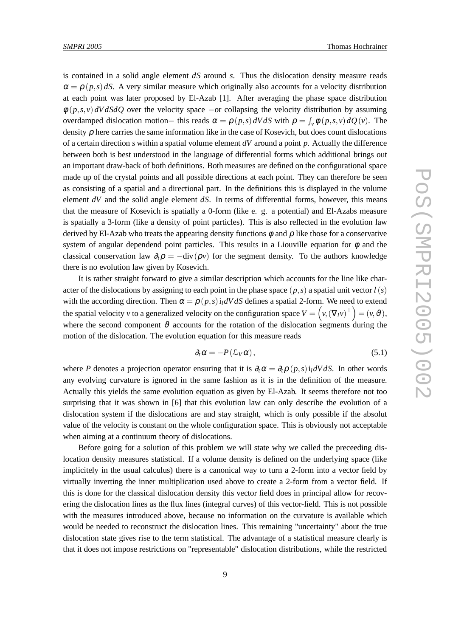is contained in a solid angle element *dS* around *s*. Thus the dislocation density measure reads  $\alpha = \rho(p,s) dS$ . A very similar measure which originally also accounts for a velocity distribution at each point was later proposed by El-Azab [1]. After averaging the phase space distribution  $\phi(p,s,v) dV dS dQ$  over the velocity space −or collapsing the velocity distribution by assuming overdamped dislocation motion– this reads  $\alpha = \rho(p, s) dV dS$  with  $\rho = \int_{V} \phi(p, s, v) dQ(v)$ . The density  $\rho$  here carries the same information like in the case of Kosevich, but does count dislocations of a certain direction *s* within a spatial volume element *dV* around a point *p*. Actually the difference between both is best understood in the language of differential forms which additional brings out an important draw-back of both definitions. Both measures are defined on the configurational space made up of the crystal points and all possible directions at each point. They can therefore be seen as consisting of a spatial and a directional part. In the definitions this is displayed in the volume element *dV* and the solid angle element *dS*. In terms of differential forms, however, this means that the measure of Kosevich is spatially a 0-form (like e. g. a potential) and El-Azabs measure is spatially a 3-form (like a density of point particles). This is also reflected in the evolution law derived by El-Azab who treats the appearing density functions  $\phi$  and  $\rho$  like those for a conservative system of angular dependend point particles. This results in a Liouville equation for  $\phi$  and the classical conservation law  $\partial_t \rho = -\text{div}(\rho v)$  for the segment density. To the authors knowledge there is no evolution law given by Kosevich.

It is rather straight forward to give a similar description which accounts for the line like character of the dislocations by assigning to each point in the phase space  $(p, s)$  a spatial unit vector  $l(s)$ with the according direction. Then  $\alpha = \rho(p, s)$  *i*<sub>l</sub> $dV dS$  defines a spatial 2-form. We need to extend the spatial velocity *v* to a generalized velocity on the configuration space  $V = (v, (\nabla_l v)^{\perp}) = (v, \vartheta)$ , where the second component  $\vartheta$  accounts for the rotation of the dislocation segments during the motion of the dislocation. The evolution equation for this measure reads

$$
\partial_t \alpha = -P(\mathcal{L}_V \alpha), \qquad (5.1)
$$

where *P* denotes a projection operator ensuring that it is  $\partial_t \alpha = \partial_t \rho(p,s) i_l dV dS$ . In other words any evolving curvature is ignored in the same fashion as it is in the definition of the measure. Actually this yields the same evolution equation as given by El-Azab. It seems therefore not too surprising that it was shown in [6] that this evolution law can only describe the evolution of a dislocation system if the dislocations are and stay straight, which is only possible if the absolut value of the velocity is constant on the whole configuration space. This is obviously not acceptable when aiming at a continuum theory of dislocations.

Before going for a solution of this problem we will state why we called the preceeding dislocation density measures statistical. If a volume density is defined on the underlying space (like implicitely in the usual calculus) there is a canonical way to turn a 2-form into a vector field by virtually inverting the inner multiplication used above to create a 2-form from a vector field. If this is done for the classical dislocation density this vector field does in principal allow for recovering the dislocation lines as the flux lines (integral curves) of this vector-field. This is not possible with the measures introduced above, because no information on the curvature is available which would be needed to reconstruct the dislocation lines. This remaining "uncertainty" about the true dislocation state gives rise to the term statistical. The advantage of a statistical measure clearly is that it does not impose restrictions on "representable" dislocation distributions, while the restricted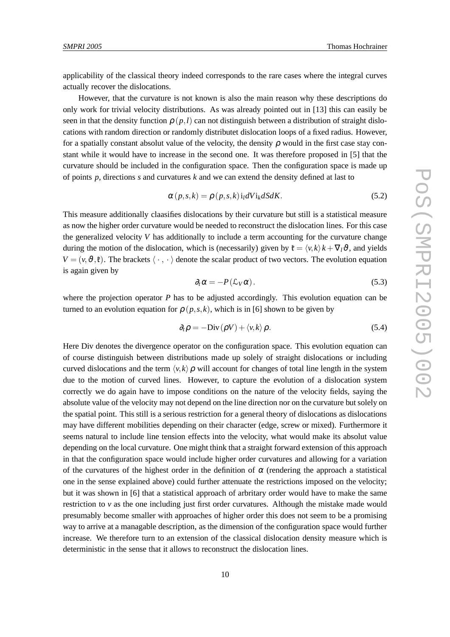applicability of the classical theory indeed corresponds to the rare cases where the integral curves actually recover the dislocations.

However, that the curvature is not known is also the main reason why these descriptions do only work for trivial velocity distributions. As was already pointed out in [13] this can easily be seen in that the density function  $\rho$  ( $p$ ,*l*) can not distinguish between a distribution of straight dislocations with random direction or randomly distributet dislocation loops of a fixed radius. However, for a spatially constant absolut value of the velocity, the density  $\rho$  would in the first case stay constant while it would have to increase in the second one. It was therefore proposed in [5] that the curvature should be included in the configuration space. Then the configuration space is made up of points *p*, directions *s* and curvatures *k* and we can extend the density defined at last to

$$
\alpha(p,s,k) = \rho(p,s,k) i_l dV i_k dS dK. \qquad (5.2)
$$

This measure additionally claasifies dislocations by their curvature but still is a statistical measure as now the higher order curvature would be needed to reconstruct the dislocation lines. For this case the generalized velocity *V* has additionally to include a term accounting for the curvature change during the motion of the dislocation, which is (necessarily) given by  $\mathfrak{k} = \langle v, k \rangle k + \nabla_l \vartheta$ , and yields  $V = (v, \vartheta, \ell)$ . The brackets  $\langle \cdot, \cdot \rangle$  denote the scalar product of two vectors. The evolution equation is again given by

$$
\partial_t \alpha = -P(\mathcal{L}_V \alpha). \tag{5.3}
$$

where the projection operator *P* has to be adjusted accordingly. This evolution equation can be turned to an evolution equation for  $\rho(p,s,k)$ , which is in [6] shown to be given by

$$
\partial_t \rho = -\text{Div}\left(\rho V\right) + \langle v, k \rangle \rho. \tag{5.4}
$$

Here Div denotes the divergence operator on the configuration space. This evolution equation can of course distinguish between distributions made up solely of straight dislocations or including curved dislocations and the term  $\langle v, k \rangle \rho$  will account for changes of total line length in the system due to the motion of curved lines. However, to capture the evolution of a dislocation system correctly we do again have to impose conditions on the nature of the velocity fields, saying the absolute value of the velocity may not depend on the line direction nor on the curvature but solely on the spatial point. This still is a serious restriction for a general theory of dislocations as dislocations may have different mobilities depending on their character (edge, screw or mixed). Furthermore it seems natural to include line tension effects into the velocity, what would make its absolut value depending on the local curvature. One might think that a straight forward extension of this approach in that the configuration space would include higher order curvatures and allowing for a variation of the curvatures of the highest order in the definition of  $\alpha$  (rendering the approach a statistical one in the sense explained above) could further attenuate the restrictions imposed on the velocity; but it was shown in [6] that a statistical approach of arbritary order would have to make the same restriction to  $\nu$  as the one including just first order curvatures. Although the mistake made would presumably become smaller with approaches of higher order this does not seem to be a promising way to arrive at a managable description, as the dimension of the configuration space would further increase. We therefore turn to an extension of the classical dislocation density measure which is deterministic in the sense that it allows to reconstruct the dislocation lines.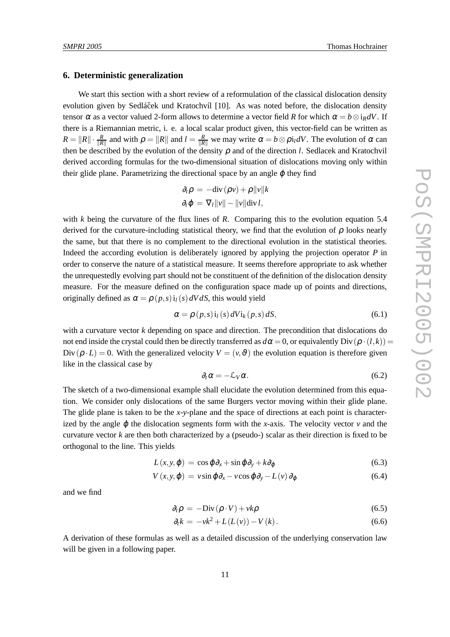#### **6. Deterministic generalization**

We start this section with a short review of a reformulation of the classical dislocation density evolution given by Sedláček und Kratochvíl [10]. As was noted before, the dislocation density tensor  $\alpha$  as a vector valued 2-form allows to determine a vector field *R* for which  $\alpha = b \otimes i_R dV$ . If there is a Riemannian metric, i. e. a local scalar product given, this vector-field can be written as  $R = \|R\| \cdot \frac{R}{\|R\|}$  and with  $\rho = \|R\|$  and  $l = \frac{R}{\|R\|}$  we may write  $\alpha = b \otimes \rho i_l dV$ . The evolution of  $\alpha$  can then be described by the evolution of the density ρ and of the direction *l*. Sedlacek and Kratochvil derived according formulas for the two-dimensional situation of dislocations moving only within their glide plane. Parametrizing the directional space by an angle  $\varphi$  they find

$$
\partial_t \rho = -\text{div}(\rho v) + \rho ||v||k
$$
  

$$
\partial_t \varphi = \nabla_l ||v|| - ||v|| \text{div} \, l,
$$

with *k* being the curvature of the flux lines of *R*. Comparing this to the evolution equation 5.4 derived for the curvature-including statistical theory, we find that the evolution of  $\rho$  looks nearly the same, but that there is no complement to the directional evolution in the statistical theories. Indeed the according evolution is deliberately ignored by applying the projection operator *P* in order to conserve the nature of a statistical measure. It seems therefore appropriate to ask whether the unrequestedly evolving part should not be constituent of the definition of the dislocation density measure. For the measure defined on the configuration space made up of points and directions, originally defined as  $\alpha = \rho(p, s)$  i<sub>l</sub>(*s*) *dV dS*, this would yield

$$
\alpha = \rho(p, s) i_l(s) dV i_k(p, s) dS,
$$
\n(6.1)

with a curvature vector *k* depending on space and direction. The precondition that dislocations do not end inside the crystal could then be directly transferred as  $d\alpha = 0$ , or equivalently Div( $\rho \cdot (l,k)$ ) = Div( $\rho \cdot L$ ) = 0. With the generalized velocity  $V = (v, \vartheta)$  the evolution equation is therefore given like in the classical case by

$$
\partial_t \alpha = -\mathcal{L}_V \alpha. \tag{6.2}
$$

The sketch of a two-dimensional example shall elucidate the evolution determined from this equation. We consider only dislocations of the same Burgers vector moving within their glide plane. The glide plane is taken to be the *x*-*y*-plane and the space of directions at each point is characterized by the angle  $\varphi$  the dislocation segments form with the *x*-axis. The velocity vector  $\nu$  and the curvature vector  $k$  are then both characterized by a (pseudo-) scalar as their direction is fixed to be orthogonal to the line. This yields

$$
L(x, y, \varphi) = \cos \varphi \partial_x + \sin \varphi \partial_y + k \partial_\varphi \tag{6.3}
$$

$$
V(x, y, \varphi) = v \sin \varphi \partial_x - v \cos \varphi \partial_y - L(v) \partial_\varphi \tag{6.4}
$$

and we find

$$
\partial_t \rho = -\text{Div}(\rho \cdot V) + v k \rho \tag{6.5}
$$

$$
\partial_t k = -\nu k^2 + L(L(\nu)) - V(k). \tag{6.6}
$$

A derivation of these formulas as well as a detailed discussion of the underlying conservation law will be given in a following paper.